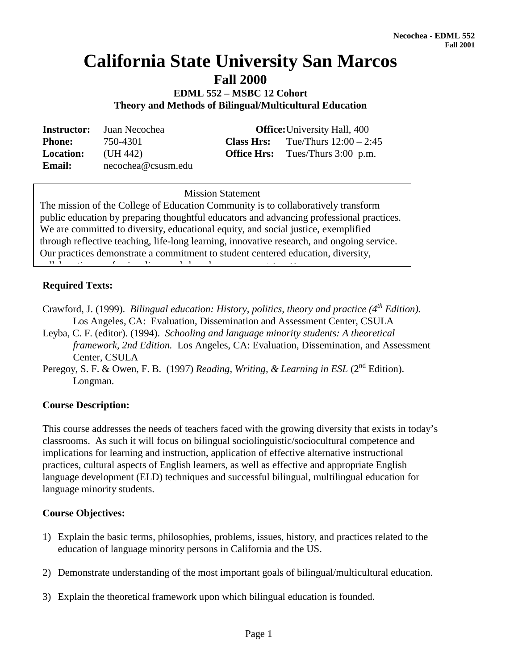# **California State University San Marcos**

**Fall 2000**

**EDML 552 – MSBC 12 Cohort Theory and Methods of Bilingual/Multicultural Education**

**Instructor:** Juan Necochea **Office:**University Hall, 400 **Phone:** 750-4301 **Class Hrs:** Tue/Thurs 12:00 – 2:45 **Location:** (UH 442) **Office Hrs:** Tues/Thurs 3:00 p.m. **Email:** necochea@csusm.edu

**Mission Statement** Mission Statement

The mission of the College of Education Community is to collaboratively transform public education by preparing thoughtful educators and advancing professional practices. We are committed to diversity, educational equity, and social justice, exemplified through reflective teaching, life-long learning, innovative research, and ongoing service. Our practices demonstrate a commitment to student centered education, diversity, ll  $\theta$  is time  $\theta$  in definition of the distribution of the distribution of the distribution of the distribution of the distribution of the distribution of the distribution of the distribution of the distribution of the

# **Required Texts:**

- Crawford, J. (1999). *Bilingual education: History, politics, theory and practice (4th Edition).* Los Angeles, CA: Evaluation, Dissemination and Assessment Center, CSULA
- Leyba, C. F. (editor). (1994). *Schooling and language minority students: A theoretical framework, 2nd Edition.* Los Angeles, CA: Evaluation, Dissemination, and Assessment Center, CSULA
- Peregoy, S. F. & Owen, F. B. (1997) *Reading, Writing, & Learning in ESL* (2<sup>nd</sup> Edition). Longman.

## **Course Description:**

This course addresses the needs of teachers faced with the growing diversity that exists in today's classrooms. As such it will focus on bilingual sociolinguistic/sociocultural competence and implications for learning and instruction, application of effective alternative instructional practices, cultural aspects of English learners, as well as effective and appropriate English language development (ELD) techniques and successful bilingual, multilingual education for language minority students.

## **Course Objectives:**

- 1) Explain the basic terms, philosophies, problems, issues, history, and practices related to the education of language minority persons in California and the US.
- 2) Demonstrate understanding of the most important goals of bilingual/multicultural education.
- 3) Explain the theoretical framework upon which bilingual education is founded.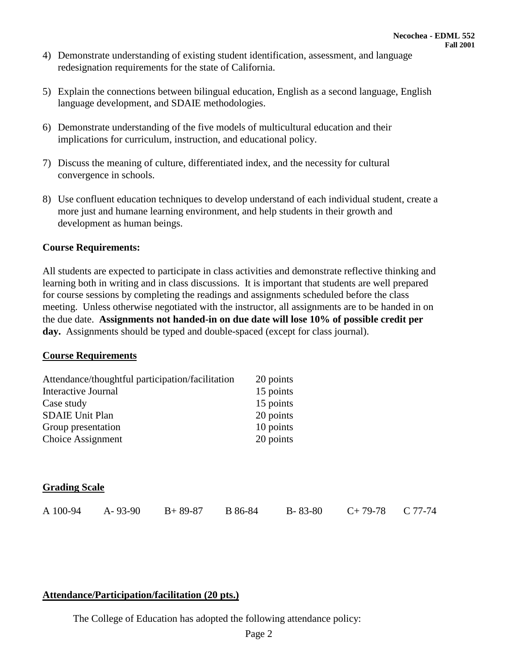- 4) Demonstrate understanding of existing student identification, assessment, and language redesignation requirements for the state of California.
- 5) Explain the connections between bilingual education, English as a second language, English language development, and SDAIE methodologies.
- 6) Demonstrate understanding of the five models of multicultural education and their implications for curriculum, instruction, and educational policy.
- 7) Discuss the meaning of culture, differentiated index, and the necessity for cultural convergence in schools.
- 8) Use confluent education techniques to develop understand of each individual student, create a more just and humane learning environment, and help students in their growth and development as human beings.

#### **Course Requirements:**

All students are expected to participate in class activities and demonstrate reflective thinking and learning both in writing and in class discussions. It is important that students are well prepared for course sessions by completing the readings and assignments scheduled before the class meeting. Unless otherwise negotiated with the instructor, all assignments are to be handed in on the due date. **Assignments not handed-in on due date will lose 10% of possible credit per day.** Assignments should be typed and double-spaced (except for class journal).

#### **Course Requirements**

| Attendance/thoughtful participation/facilitation |               |           |         | 20 points     |           |           |  |
|--------------------------------------------------|---------------|-----------|---------|---------------|-----------|-----------|--|
| Interactive Journal                              |               |           |         | 15 points     |           |           |  |
| Case study                                       |               |           |         | 15 points     |           |           |  |
| <b>SDAIE Unit Plan</b>                           |               |           |         | 20 points     |           |           |  |
| Group presentation                               |               |           |         | 10 points     |           |           |  |
| Choice Assignment                                |               |           |         | 20 points     |           |           |  |
|                                                  |               |           |         |               |           |           |  |
|                                                  |               |           |         |               |           |           |  |
| <b>Grading Scale</b>                             |               |           |         |               |           |           |  |
| A 100-94                                         | $A - 93 - 90$ | $B+89-87$ | B 86-84 | $B - 83 - 80$ | $C+79-78$ | $C$ 77-74 |  |

## **Attendance/Participation/facilitation (20 pts.)**

The College of Education has adopted the following attendance policy: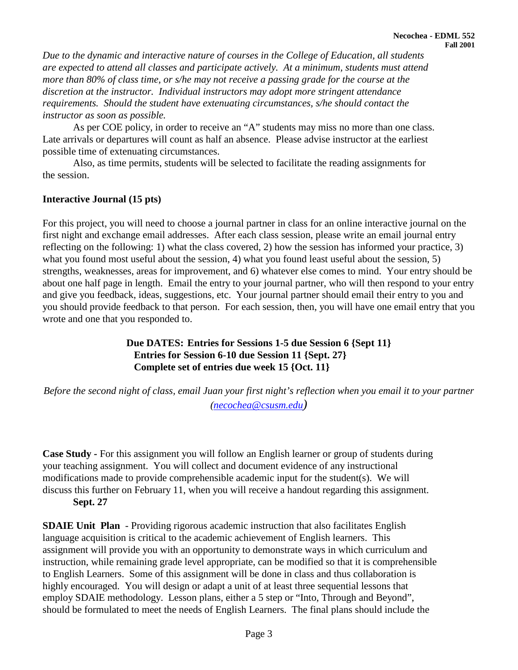*Due to the dynamic and interactive nature of courses in the College of Education, all students are expected to attend all classes and participate actively. At a minimum, students must attend more than 80% of class time, or s/he may not receive a passing grade for the course at the discretion at the instructor. Individual instructors may adopt more stringent attendance requirements. Should the student have extenuating circumstances, s/he should contact the instructor as soon as possible.*

As per COE policy, in order to receive an "A" students may miss no more than one class. Late arrivals or departures will count as half an absence. Please advise instructor at the earliest possible time of extenuating circumstances.

Also, as time permits, students will be selected to facilitate the reading assignments for the session.

#### **Interactive Journal (15 pts)**

For this project, you will need to choose a journal partner in class for an online interactive journal on the first night and exchange email addresses. After each class session, please write an email journal entry reflecting on the following: 1) what the class covered, 2) how the session has informed your practice, 3) what you found most useful about the session, 4) what you found least useful about the session, 5) strengths, weaknesses, areas for improvement, and 6) whatever else comes to mind. Your entry should be about one half page in length. Email the entry to your journal partner, who will then respond to your entry and give you feedback, ideas, suggestions, etc. Your journal partner should email their entry to you and you should provide feedback to that person. For each session, then, you will have one email entry that you wrote and one that you responded to.

## **Due DATES: Entries for Sessions 1-5 due Session 6 {Sept 11} Entries for Session 6-10 due Session 11 {Sept. 27} Complete set of entries due week 15 {Oct. 11}**

*Before the second night of class, email Juan your first night's reflection when you email it to your partner [\(necochea@csusm.edu\)](mailto:zcline@csusm.edu)*

**Case Study** *-* For this assignment you will follow an English learner or group of students during your teaching assignment. You will collect and document evidence of any instructional modifications made to provide comprehensible academic input for the student(s). We will discuss this further on February 11, when you will receive a handout regarding this assignment. **Sept. 27**

**SDAIE Unit Plan** - Providing rigorous academic instruction that also facilitates English language acquisition is critical to the academic achievement of English learners. This assignment will provide you with an opportunity to demonstrate ways in which curriculum and instruction, while remaining grade level appropriate, can be modified so that it is comprehensible to English Learners. Some of this assignment will be done in class and thus collaboration is highly encouraged. You will design or adapt a unit of at least three sequential lessons that employ SDAIE methodology. Lesson plans, either a 5 step or "Into, Through and Beyond", should be formulated to meet the needs of English Learners. The final plans should include the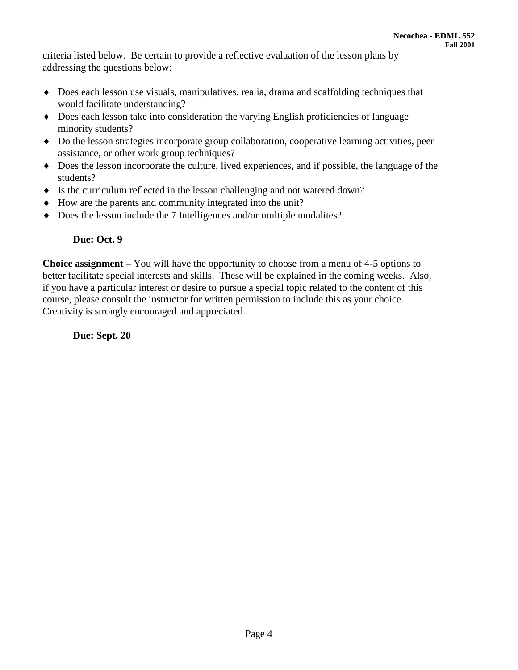criteria listed below. Be certain to provide a reflective evaluation of the lesson plans by addressing the questions below:

- ♦ Does each lesson use visuals, manipulatives, realia, drama and scaffolding techniques that would facilitate understanding?
- ♦ Does each lesson take into consideration the varying English proficiencies of language minority students?
- ♦ Do the lesson strategies incorporate group collaboration, cooperative learning activities, peer assistance, or other work group techniques?
- ♦ Does the lesson incorporate the culture, lived experiences, and if possible, the language of the students?
- ♦ Is the curriculum reflected in the lesson challenging and not watered down?
- ♦ How are the parents and community integrated into the unit?
- ♦ Does the lesson include the 7 Intelligences and/or multiple modalites?

# **Due: Oct. 9**

**Choice assignment –** You will have the opportunity to choose from a menu of 4-5 options to better facilitate special interests and skills. These will be explained in the coming weeks. Also, if you have a particular interest or desire to pursue a special topic related to the content of this course, please consult the instructor for written permission to include this as your choice. Creativity is strongly encouraged and appreciated.

 **Due: Sept. 20**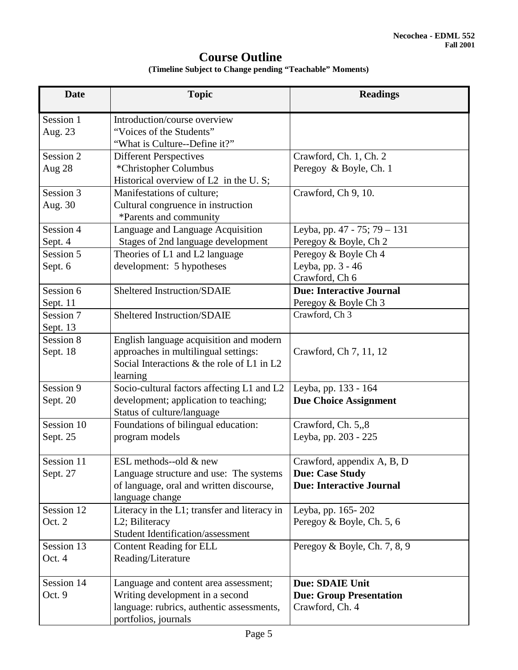# **Course Outline**

| (Timeline Subject to Change pending "Teachable" Moments) |  |
|----------------------------------------------------------|--|
|----------------------------------------------------------|--|

| <b>Date</b>                        | <b>Topic</b>                                                                                                                                  | <b>Readings</b>                                                                         |  |
|------------------------------------|-----------------------------------------------------------------------------------------------------------------------------------------------|-----------------------------------------------------------------------------------------|--|
| Session 1<br>Aug. 23               | Introduction/course overview<br>"Voices of the Students"<br>"What is Culture--Define it?"                                                     |                                                                                         |  |
| Session 2<br>Aug 28                | <b>Different Perspectives</b><br>*Christopher Columbus<br>Historical overview of L2 in the U.S;                                               | Crawford, Ch. 1, Ch. 2<br>Peregoy & Boyle, Ch. 1                                        |  |
| Session 3<br>Aug. 30               | Manifestations of culture;<br>Cultural congruence in instruction<br>*Parents and community                                                    | Crawford, Ch 9, 10.                                                                     |  |
| Session 4<br>Sept. 4               | Language and Language Acquisition<br>Stages of 2nd language development                                                                       | Leyba, pp. 47 - 75; 79 - 131<br>Peregoy & Boyle, Ch 2                                   |  |
| Session 5<br>Sept. 6               | Theories of L1 and L2 language<br>development: 5 hypotheses                                                                                   | Peregoy & Boyle Ch 4<br>Leyba, pp. 3 - 46<br>Crawford, Ch 6                             |  |
| Session 6<br>Sept. 11              | <b>Sheltered Instruction/SDAIE</b>                                                                                                            | <b>Due: Interactive Journal</b><br>Peregoy & Boyle Ch 3                                 |  |
| Session 7<br>Sept. 13<br>Session 8 | <b>Sheltered Instruction/SDAIE</b>                                                                                                            | Crawford, Ch 3                                                                          |  |
| Sept. 18                           | English language acquisition and modern<br>approaches in multilingual settings:<br>Social Interactions & the role of L1 in L2<br>learning     | Crawford, Ch 7, 11, 12                                                                  |  |
| Session 9<br>Sept. 20              | Socio-cultural factors affecting L1 and L2<br>development; application to teaching;<br>Status of culture/language                             | Leyba, pp. 133 - 164<br><b>Due Choice Assignment</b>                                    |  |
| Session 10<br>Sept. 25             | Foundations of bilingual education:<br>program models                                                                                         | Crawford, Ch. 5,,8<br>Leyba, pp. 203 - 225                                              |  |
| Session 11<br>Sept. 27             | ESL methods--old & new<br>Language structure and use: The systems<br>of language, oral and written discourse,<br>language change              | Crawford, appendix A, B, D<br><b>Due: Case Study</b><br><b>Due: Interactive Journal</b> |  |
| Session 12<br>Oct. 2               | Literacy in the L1; transfer and literacy in<br>L2; Biliteracy<br><b>Student Identification/assessment</b>                                    | Leyba, pp. 165-202<br>Peregoy & Boyle, Ch. 5, 6                                         |  |
| Session 13<br>Oct. 4               | Content Reading for ELL<br>Reading/Literature                                                                                                 | Peregoy & Boyle, Ch. 7, 8, 9                                                            |  |
| Session 14<br>Oct. 9               | Language and content area assessment;<br>Writing development in a second<br>language: rubrics, authentic assessments,<br>portfolios, journals | <b>Due: SDAIE Unit</b><br><b>Due: Group Presentation</b><br>Crawford, Ch. 4             |  |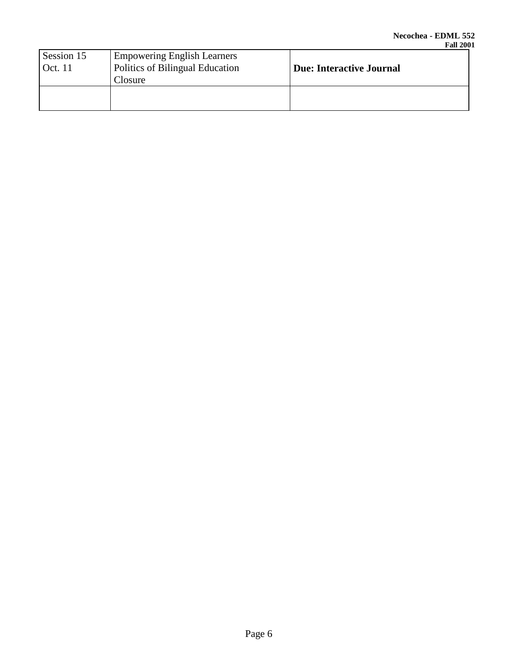| Session 15<br><b>Empowering English Learners</b><br>Politics of Bilingual Education<br>Oct. 11<br>Closure |  | <b>Due: Interactive Journal</b> |  |
|-----------------------------------------------------------------------------------------------------------|--|---------------------------------|--|
|                                                                                                           |  |                                 |  |